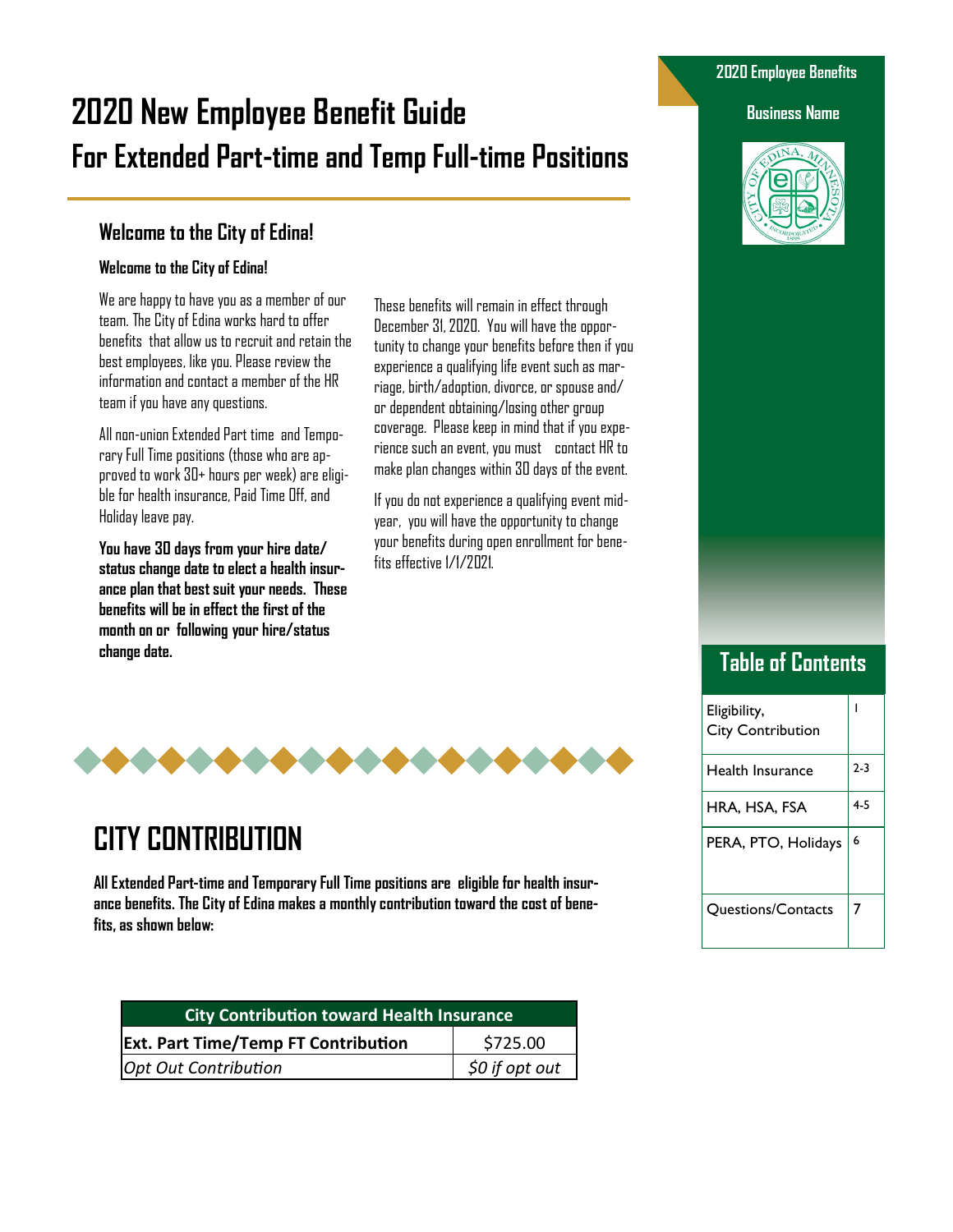# **2020 New Employee Benefit Guide Business Name For Extended Part-time and Temp Full-time Positions**

### **Welcome to the City of Edina!**

#### **Welcome to the City of Edina!**

We are happy to have you as a member of our team. The City of Edina works hard to offer benefits that allow us to recruit and retain the best employees, like you. Please review the information and contact a member of the HR team if you have any questions.

All non-union Extended Part time and Temporary Full Time positions (those who are approved to work 30+ hours per week) are eligible for health insurance, Paid Time Off, and Holiday leave pay.

**You have 30 days from your hire date/ status change date to elect a health insurance plan that best suit your needs. These benefits will be in effect the first of the month on or following your hire/status change date.**

These benefits will remain in effect through December 31, 2020. You will have the opportunity to change your benefits before then if you experience a qualifying life event such as marriage, birth/adoption, divorce, or spouse and/ or dependent obtaining/losing other group coverage. Please keep in mind that if you experience such an event, you must contact HR to make plan changes within 30 days of the event.

If you do not experience a qualifying event midyear, you will have the opportunity to change your benefits during open enrollment for benefits effective 1/1/2021.



# **CITY CONTRIBUTION**

**All Extended Part-time and Temporary Full Time positions are eligible for health insurance benefits. The City of Edina makes a monthly contribution toward the cost of benefits, as shown below:**

| <b>City Contribution toward Health Insurance</b> |                |  |
|--------------------------------------------------|----------------|--|
| <b>Ext. Part Time/Temp FT Contribution</b>       | \$725.00       |  |
| Opt Out Contribution                             | \$0 if opt out |  |

#### **2020 Employee Benefits**



# **Table of Contents**

| Eligibility,<br><b>City Contribution</b> |       |
|------------------------------------------|-------|
| Health Insurance                         | $2-3$ |
| HRA, HSA, FSA                            | 4-5   |
| PERA, PTO, Holidays                      | 6     |
| <b>Questions/Contacts</b>                | 7     |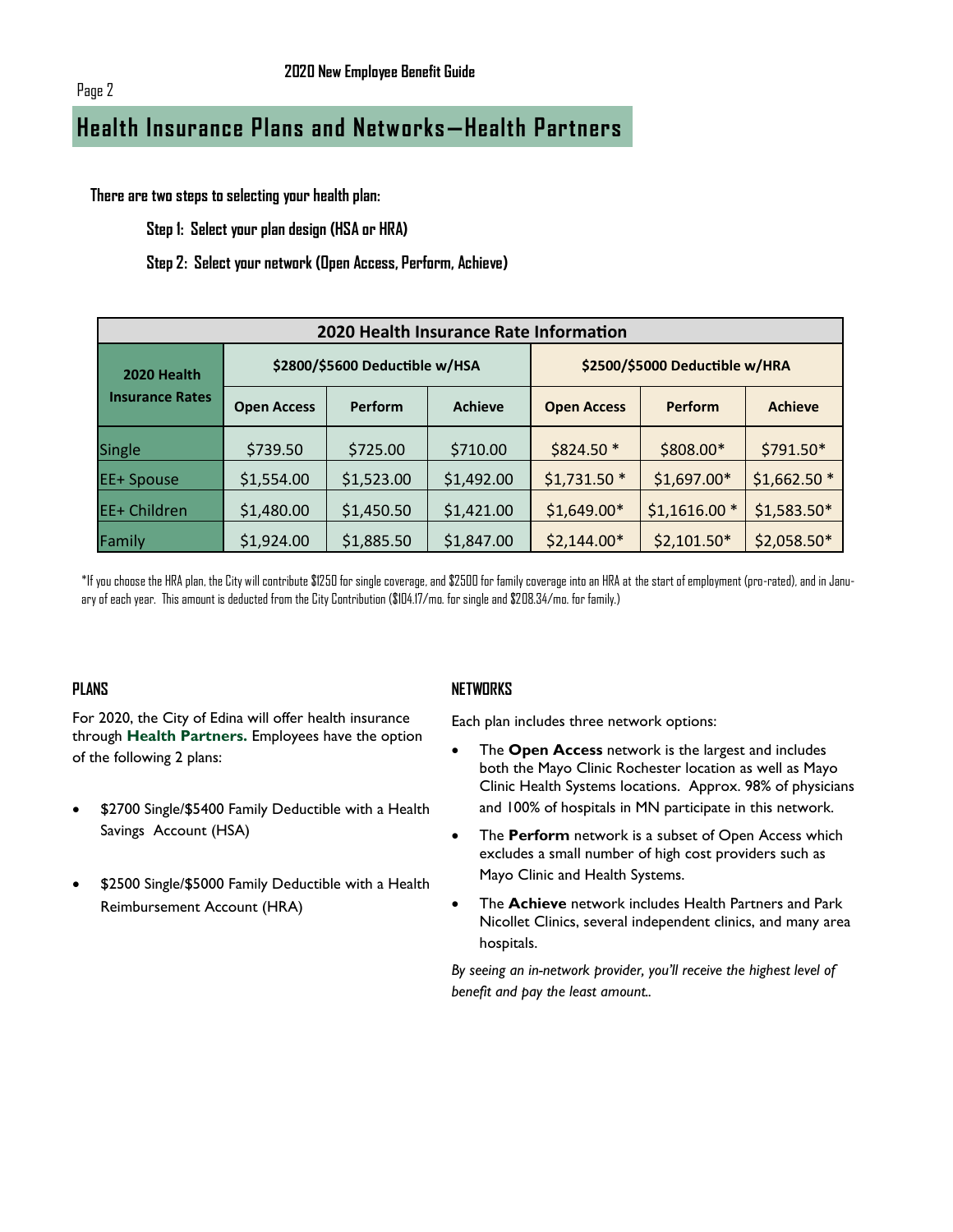# **Health Insurance Plans and Networks—Health Partners**

**There are two steps to selecting your health plan:**

**Step 1: Select your plan design (HSA or HRA)**

**Step 2: Select your network (Open Access, Perform, Achieve)**

| 2020 Health Insurance Rate Information |                                |                |                                |                    |                |                |
|----------------------------------------|--------------------------------|----------------|--------------------------------|--------------------|----------------|----------------|
| 2020 Health                            | \$2800/\$5600 Deductible w/HSA |                | \$2500/\$5000 Deductible w/HRA |                    |                |                |
| <b>Insurance Rates</b>                 | <b>Open Access</b>             | <b>Perform</b> | <b>Achieve</b>                 | <b>Open Access</b> | <b>Perform</b> | <b>Achieve</b> |
| Single                                 | \$739.50                       | \$725.00       | \$710.00                       | \$824.50 *         | \$808.00*      | \$791.50*      |
| <b>EE+ Spouse</b>                      | \$1,554.00                     | \$1,523.00     | \$1,492.00                     | $$1,731.50*$       | $$1,697.00*$   | $$1,662.50$ *  |
| EE+ Children                           | \$1,480.00                     | \$1,450.50     | \$1,421.00                     | $$1,649.00*$       | $$1,1616.00*$  | $$1,583.50*$   |
| Family                                 | \$1,924.00                     | \$1,885.50     | \$1,847.00                     | $$2,144.00*$       | $$2,101.50*$   | $$2,058.50*$   |

\*If you choose the HRA plan, the City will contribute \$1250 for single coverage, and \$2500 for family coverage into an HRA at the start of employment (pro-rated), and in January of each year. This amount is deducted from the City Contribution (\$104.17/mo. for single and \$208.34/mo. for family.)

#### **PLANS**

For 2020, the City of Edina will offer health insurance through **Health Partners.** Employees have the option of the following 2 plans:

- \$2700 Single/\$5400 Family Deductible with a Health Savings Account (HSA)
- \$2500 Single/\$5000 Family Deductible with a Health Reimbursement Account (HRA)

#### **NETWORKS**

Each plan includes three network options:

- The **Open Access** network is the largest and includes both the Mayo Clinic Rochester location as well as Mayo Clinic Health Systems locations. Approx. 98% of physicians and 100% of hospitals in MN participate in this network.
- The **Perform** network is a subset of Open Access which excludes a small number of high cost providers such as Mayo Clinic and Health Systems.
- The **Achieve** network includes Health Partners and Park Nicollet Clinics, several independent clinics, and many area hospitals.

*By seeing an in-network provider, you'll receive the highest level of benefit and pay the least amount..*

Page 2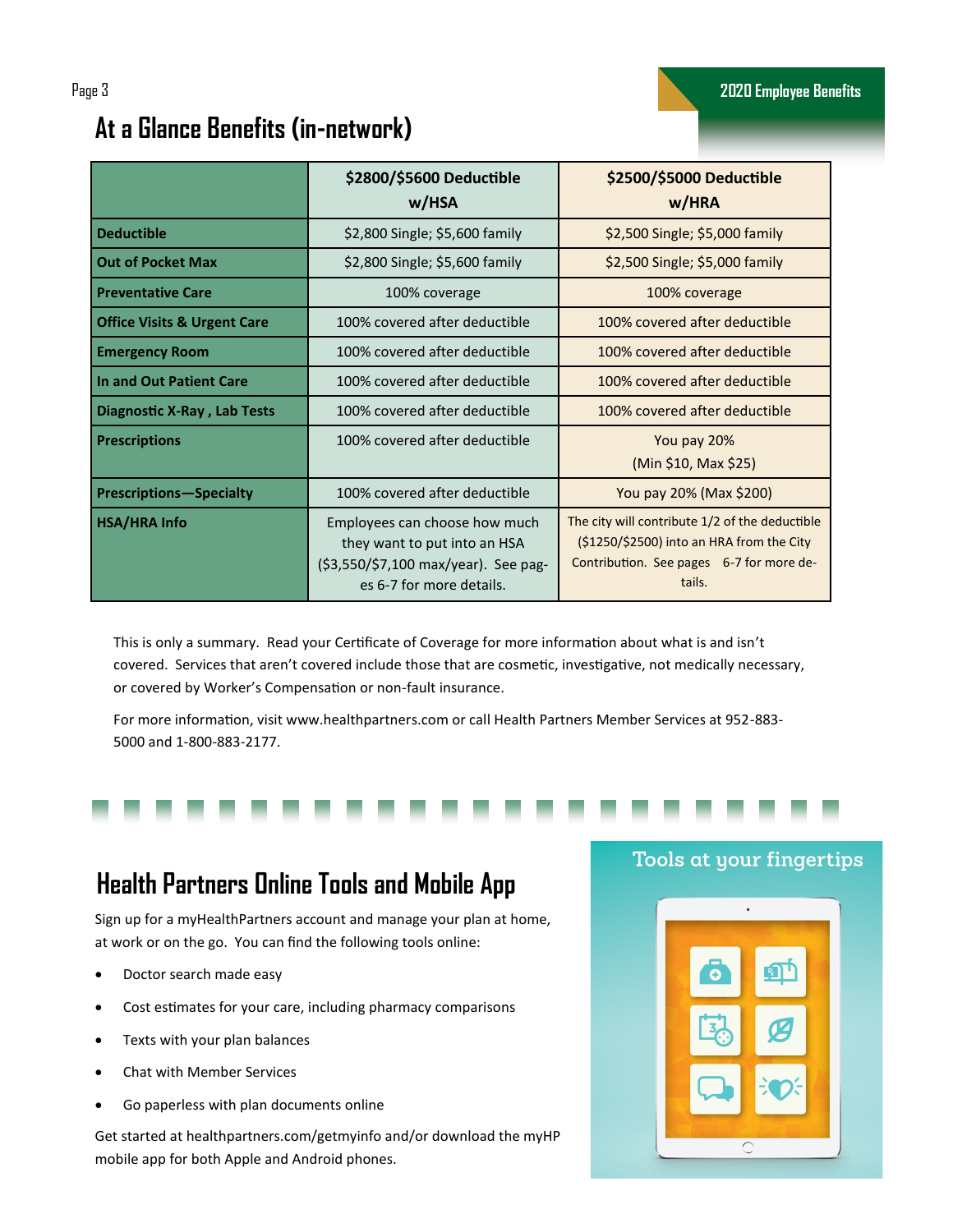#### **\$2800/\$5600 Deductible w/HSA \$2500/\$5000 Deductible w/HRA Deductible 19.2.800 Single; \$5,600 family \$2,500 Single; \$5,000 family \$2,500 Single; \$5,000 family Out of Pocket Max 1988 12,800 Single**; \$5,600 family **12,800 Single**; \$5,000 family **Preventative Care** 100 million 100% coverage 100% coverage 100% coverage 100% coverage **Office Visits & Urgent Care** 200% covered after deductible 100% covered after deductible **Emergency Room** 100% covered after deductible 100% covered after deductible **In and Out Patient Care 1** 100% covered after deductible 100% covered after deductible **Diagnostic X-Ray , Lab Tests** 100% covered after deductible 100% covered after deductible **Prescriptions** 100% covered after deductible **The Cover 20%** (Min \$10, Max \$25) **Prescriptions—Specialty** 100% covered after deductible  $\overline{Y}$  You pay 20% (Max \$200) **HSA/HRA Info Employees can choose how much** they want to put into an HSA (\$3,550/\$7,100 max/year). See pag-The city will contribute 1/2 of the deductible (\$1250/\$2500) into an HRA from the City Contribution. See pages 6-7 for more de-

# **At a Glance Benefits (in-network)**

This is only a summary. Read your Certificate of Coverage for more information about what is and isn't covered. Services that aren't covered include those that are cosmetic, investigative, not medically necessary, or covered by Worker's Compensation or non-fault insurance.

es 6-7 for more details.

For more information, visit www.healthpartners.com or call Health Partners Member Services at 952-883- 5000 and 1-800-883-2177.

# **Health Partners Online Tools and Mobile App**

Sign up for a myHealthPartners account and manage your plan at home, at work or on the go. You can find the following tools online:

- Doctor search made easy
- Cost estimates for your care, including pharmacy comparisons
- Texts with your plan balances
- Chat with Member Services
- Go paperless with plan documents online

Get started at healthpartners.com/getmyinfo and/or download the myHP mobile app for both Apple and Android phones.

#### Tools at your fingertips

tails.

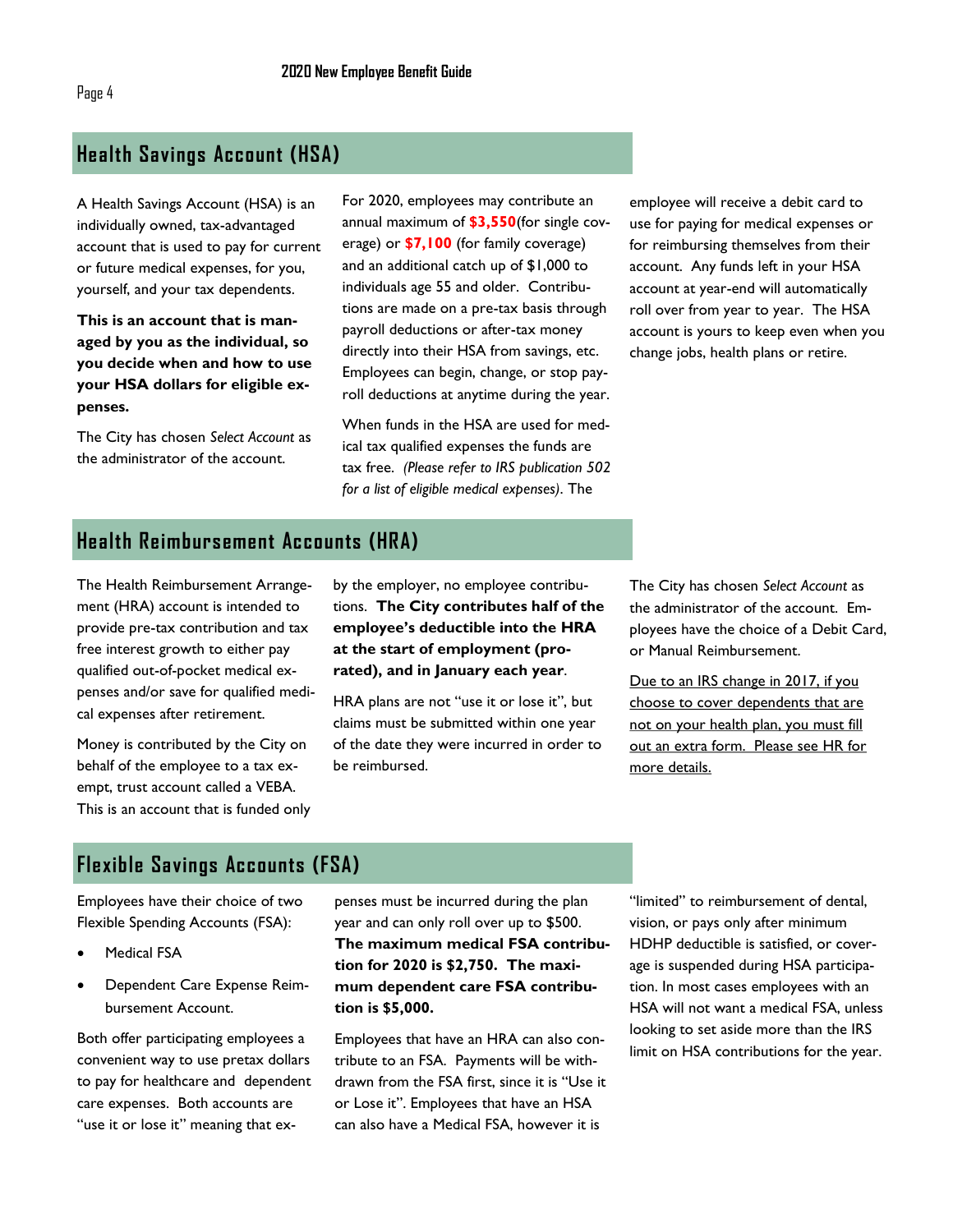#### **Health Savings Account (HSA)**

A Health Savings Account (HSA) is an individually owned, tax-advantaged account that is used to pay for current or future medical expenses, for you, yourself, and your tax dependents.

**This is an account that is managed by you as the individual, so you decide when and how to use your HSA dollars for eligible expenses.** 

The City has chosen *Select Account* as the administrator of the account.

For 2020, employees may contribute an annual maximum of **\$3,550**(for single coverage) or **\$7,100** (for family coverage) and an additional catch up of \$1,000 to individuals age 55 and older. Contributions are made on a pre-tax basis through payroll deductions or after-tax money directly into their HSA from savings, etc. Employees can begin, change, or stop payroll deductions at anytime during the year.

When funds in the HSA are used for medical tax qualified expenses the funds are tax free. *(Please refer to IRS publication 502 for a list of eligible medical expenses)*. The

employee will receive a debit card to use for paying for medical expenses or for reimbursing themselves from their account. Any funds left in your HSA account at year-end will automatically roll over from year to year. The HSA account is yours to keep even when you change jobs, health plans or retire.

### **Health Reimbursement Accounts (HRA)**

The Health Reimbursement Arrangement (HRA) account is intended to provide pre-tax contribution and tax free interest growth to either pay qualified out-of-pocket medical expenses and/or save for qualified medical expenses after retirement.

Money is contributed by the City on behalf of the employee to a tax exempt, trust account called a VEBA. This is an account that is funded only by the employer, no employee contributions. **The City contributes half of the employee's deductible into the HRA at the start of employment (prorated), and in January each year**.

HRA plans are not "use it or lose it", but claims must be submitted within one year of the date they were incurred in order to be reimbursed.

The City has chosen *Select Account* as the administrator of the account. Employees have the choice of a Debit Card, or Manual Reimbursement.

Due to an IRS change in 2017, if you choose to cover dependents that are not on your health plan, you must fill out an extra form. Please see HR for more details.

#### **Flexible Savings Accounts (FSA)**

Employees have their choice of two Flexible Spending Accounts (FSA):

- **Medical FSA**
- Dependent Care Expense Reimbursement Account.

Both offer participating employees a convenient way to use pretax dollars to pay for healthcare and dependent care expenses. Both accounts are "use it or lose it" meaning that ex-

penses must be incurred during the plan year and can only roll over up to \$500. **The maximum medical FSA contribution for 2020 is \$2,750. The maximum dependent care FSA contribution is \$5,000.**

Employees that have an HRA can also contribute to an FSA. Payments will be withdrawn from the FSA first, since it is "Use it or Lose it". Employees that have an HSA can also have a Medical FSA, however it is

"limited" to reimbursement of dental, vision, or pays only after minimum HDHP deductible is satisfied, or coverage is suspended during HSA participation. In most cases employees with an HSA will not want a medical FSA, unless looking to set aside more than the IRS limit on HSA contributions for the year.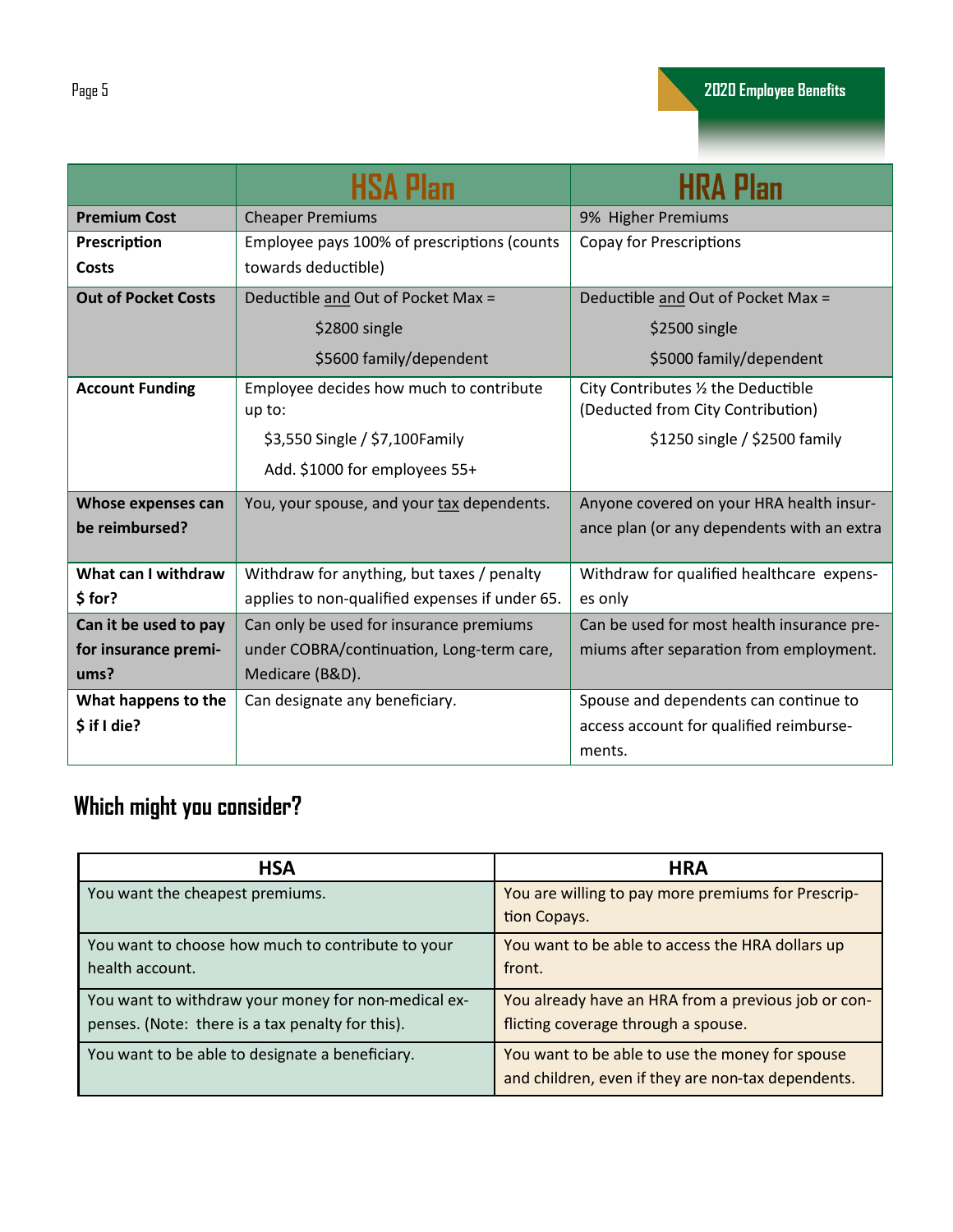|                            | <b>HSA Plan</b>                                | <b>HRA Plan</b>                            |  |
|----------------------------|------------------------------------------------|--------------------------------------------|--|
| <b>Premium Cost</b>        | <b>Cheaper Premiums</b>                        | 9% Higher Premiums                         |  |
| Prescription               | Employee pays 100% of prescriptions (counts    | <b>Copay for Prescriptions</b>             |  |
| <b>Costs</b>               | towards deductible)                            |                                            |  |
| <b>Out of Pocket Costs</b> | Deductible and Out of Pocket Max =             | Deductible and Out of Pocket Max =         |  |
|                            | \$2800 single                                  | \$2500 single                              |  |
|                            | \$5600 family/dependent                        | \$5000 family/dependent                    |  |
| <b>Account Funding</b>     | Employee decides how much to contribute        | City Contributes 1/2 the Deductible        |  |
|                            | up to:                                         | (Deducted from City Contribution)          |  |
|                            | \$3,550 Single / \$7,100 Family                | \$1250 single / \$2500 family              |  |
|                            | Add. \$1000 for employees 55+                  |                                            |  |
| Whose expenses can         | You, your spouse, and your tax dependents.     | Anyone covered on your HRA health insur-   |  |
| be reimbursed?             |                                                | ance plan (or any dependents with an extra |  |
| What can I withdraw        | Withdraw for anything, but taxes / penalty     | Withdraw for qualified healthcare expens-  |  |
| \$for?                     | applies to non-qualified expenses if under 65. | es only                                    |  |
| Can it be used to pay      | Can only be used for insurance premiums        | Can be used for most health insurance pre- |  |
| for insurance premi-       | under COBRA/continuation, Long-term care,      | miums after separation from employment.    |  |
| ums?                       | Medicare (B&D).                                |                                            |  |
| What happens to the        | Can designate any beneficiary.                 | Spouse and dependents can continue to      |  |
| $$$ if I die?              |                                                | access account for qualified reimburse-    |  |
|                            |                                                | ments.                                     |  |

# **Which might you consider?**

| <b>HSA</b>                                                                                              | <b>HRA</b>                                                                                            |
|---------------------------------------------------------------------------------------------------------|-------------------------------------------------------------------------------------------------------|
| You want the cheapest premiums.                                                                         | You are willing to pay more premiums for Prescrip-<br>tion Copays.                                    |
| You want to choose how much to contribute to your<br>health account.                                    | You want to be able to access the HRA dollars up<br>front.                                            |
| You want to withdraw your money for non-medical ex-<br>penses. (Note: there is a tax penalty for this). | You already have an HRA from a previous job or con-<br>flicting coverage through a spouse.            |
| You want to be able to designate a beneficiary.                                                         | You want to be able to use the money for spouse<br>and children, even if they are non-tax dependents. |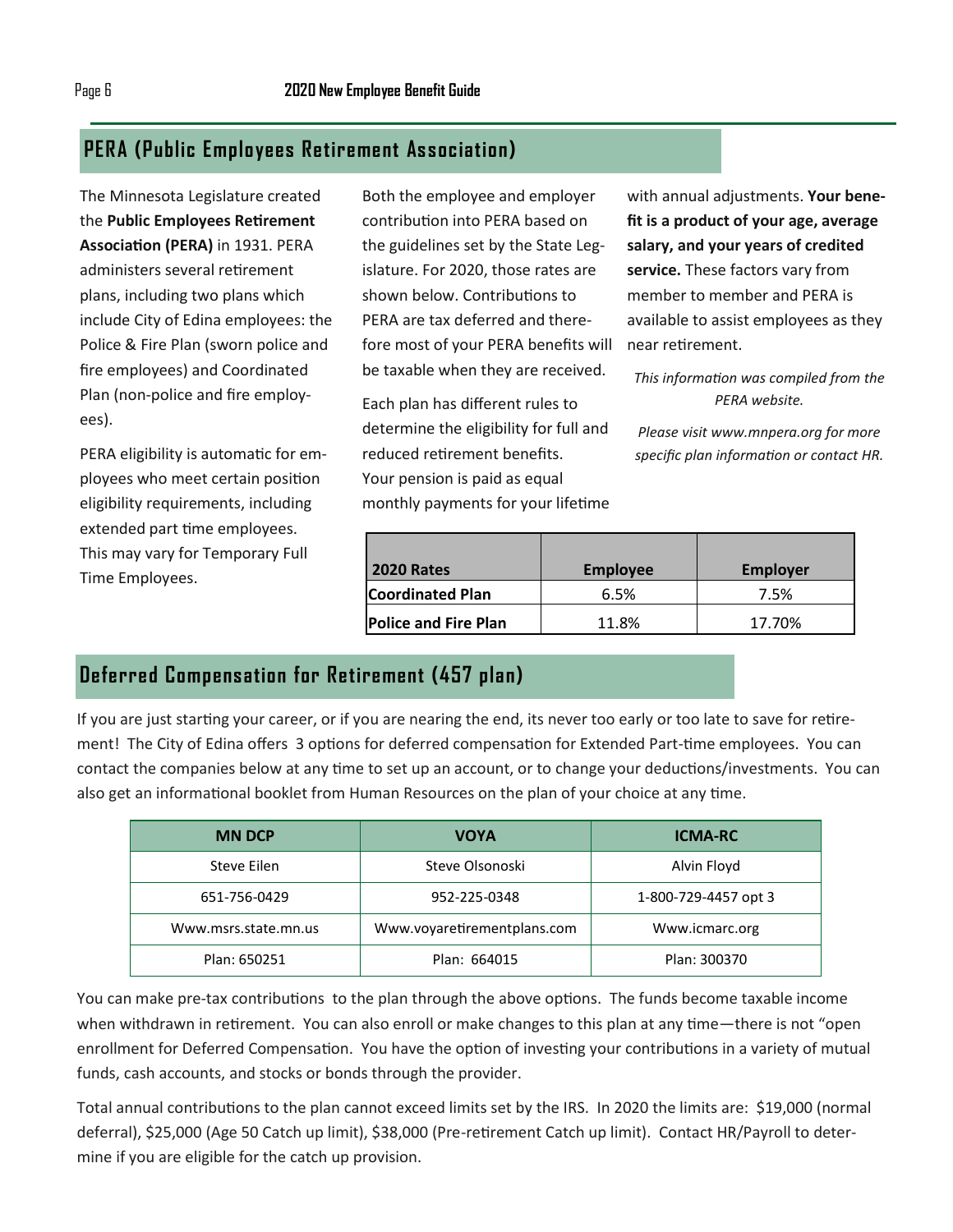### **PERA (Public Employees Retirement Association)**

The Minnesota Legislature created the **Public Employees Retirement Association (PERA)** in 1931. PERA administers several retirement plans, including two plans which include City of Edina employees: the Police & Fire Plan (sworn police and fire employees) and Coordinated Plan (non-police and fire employees).

PERA eligibility is automatic for employees who meet certain position eligibility requirements, including extended part time employees. This may vary for Temporary Full Time Employees.

Both the employee and employer contribution into PERA based on the guidelines set by the State Legislature. For 2020, those rates are shown below. Contributions to PERA are tax deferred and therefore most of your PERA benefits will be taxable when they are received.

Each plan has different rules to determine the eligibility for full and reduced retirement benefits. Your pension is paid as equal monthly payments for your lifetime with annual adjustments. **Your benefit is a product of your age, average salary, and your years of credited service.** These factors vary from member to member and PERA is available to assist employees as they near retirement.

*This information was compiled from the PERA website.* 

*Please visit www.mnpera.org for more specific plan information or contact HR.*

| <b>2020 Rates</b>           | <b>Employee</b> | <b>Employer</b> |
|-----------------------------|-----------------|-----------------|
| <b>Coordinated Plan</b>     | 6.5%            | 7.5%            |
| <b>Police and Fire Plan</b> | 11.8%           | 17.70%          |

### **Deferred Compensation for Retirement (457 plan)**

If you are just starting your career, or if you are nearing the end, its never too early or too late to save for retirement! The City of Edina offers 3 options for deferred compensation for Extended Part-time employees. You can contact the companies below at any time to set up an account, or to change your deductions/investments. You can also get an informational booklet from Human Resources on the plan of your choice at any time.

| <b>MN DCP</b>        | <b>VOYA</b>                 | <b>ICMA-RC</b>       |
|----------------------|-----------------------------|----------------------|
| Steve Eilen          | Steve Olsonoski             | Alvin Floyd          |
| 651-756-0429         | 952-225-0348                | 1-800-729-4457 opt 3 |
| Www.msrs.state.mn.us | Www.voyaretirementplans.com | Www.icmarc.org       |
| Plan: 650251         | Plan: 664015                | Plan: 300370         |

You can make pre-tax contributions to the plan through the above options. The funds become taxable income when withdrawn in retirement. You can also enroll or make changes to this plan at any time—there is not "open enrollment for Deferred Compensation. You have the option of investing your contributions in a variety of mutual funds, cash accounts, and stocks or bonds through the provider.

Total annual contributions to the plan cannot exceed limits set by the IRS. In 2020 the limits are: \$19,000 (normal deferral), \$25,000 (Age 50 Catch up limit), \$38,000 (Pre-retirement Catch up limit). Contact HR/Payroll to determine if you are eligible for the catch up provision.